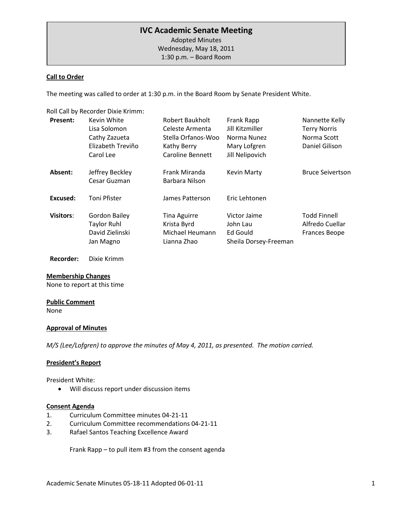# **IVC Academic Senate Meeting**

 1:30 p.m. – Board RoomAdopted Minutes Wednesday, May 18, 2011

### **Call to Order**

The meeting was called to order at 1:30 p.m. in the Board Room by Senate President White.

Roll Call by Recorder Dixie Krimm:

| <b>Present:</b>  | Kevin White                     | Robert Baukholt                 | Frank Rapp            | Nannette Kelly          |
|------------------|---------------------------------|---------------------------------|-----------------------|-------------------------|
|                  | Lisa Solomon                    | Celeste Armenta                 | Jill Kitzmiller       | <b>Terry Norris</b>     |
|                  | Cathy Zazueta                   | Stella Orfanos-Woo              | Norma Nunez           | Norma Scott             |
|                  | Elizabeth Treviño               | Kathy Berry                     | Mary Lofgren          | Daniel Gilison          |
|                  | Carol Lee                       | Caroline Bennett                | Jill Nelipovich       |                         |
| Absent:          | Jeffrey Beckley<br>Cesar Guzman | Frank Miranda<br>Barbara Nilson | <b>Kevin Marty</b>    | <b>Bruce Seivertson</b> |
| Excused:         | Toni Pfister                    | James Patterson                 | Eric Lehtonen         |                         |
| <b>Visitors:</b> | <b>Gordon Bailey</b>            | <b>Tina Aguirre</b>             | Victor Jaime          | <b>Todd Finnell</b>     |
|                  | <b>Taylor Ruhl</b>              | Krista Byrd                     | John Lau              | Alfredo Cuellar         |
|                  | David Zielinski                 | Michael Heumann                 | Ed Gould              | <b>Frances Beope</b>    |
|                  | Jan Magno                       | Lianna Zhao                     | Sheila Dorsey-Freeman |                         |

**Recorder:** Dixie Krimm

#### **Membership Changes**

None to report at this time

# **Public Comment**

None

#### **Approval of Minutes**

*M/S (Lee/Lofgren) to approve the minutes of May 4, 2011, as presented. The motion carried.* 

#### **President's Report**

President White:

• Will discuss report under discussion items

#### **Consent Agenda**

- 1. Curriculum Committee minutes 04-21-11
- 2. Curriculum Committee recommendations 04-21-11
- 3. Rafael Santos Teaching Excellence Award

Frank Rapp – to pull item #3 from the consent agenda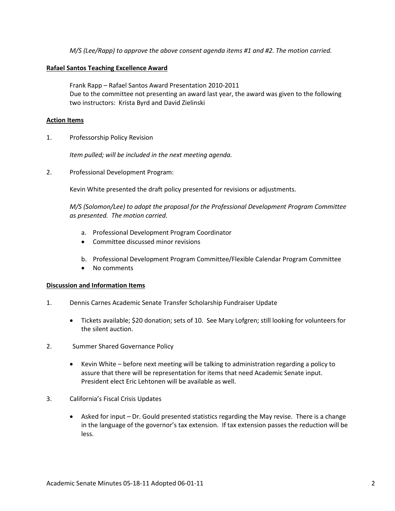*M/S (Lee/Rapp) to approve the above consent agenda items #1 and #2. The motion carried.*

### **Rafael Santos Teaching Excellence Award**

Frank Rapp – Rafael Santos Award Presentation 2010-2011 Due to the committee not presenting an award last year, the award was given to the following two instructors: Krista Byrd and David Zielinski

### **Action Items**

1. Professorship Policy Revision

*Item pulled; will be included in the next meeting agenda.*

2. Professional Development Program:

Kevin White presented the draft policy presented for revisions or adjustments.

*M/S (Solomon/Lee) to adopt the proposal for the Professional Development Program Committee as presented. The motion carried.*

- a. Professional Development Program Coordinator
- Committee discussed minor revisions
- b. Professional Development Program Committee/Flexible Calendar Program Committee
- No comments

#### **Discussion and Information Items**

- 1. Dennis Carnes Academic Senate Transfer Scholarship Fundraiser Update
	- Tickets available; \$20 donation; sets of 10. See Mary Lofgren; still looking for volunteers for the silent auction.
- 2. Summer Shared Governance Policy
	- Kevin White before next meeting will be talking to administration regarding a policy to assure that there will be representation for items that need Academic Senate input. President elect Eric Lehtonen will be available as well.
- 3. California's Fiscal Crisis Updates
	- Asked for input Dr. Gould presented statistics regarding the May revise. There is a change in the language of the governor's tax extension. If tax extension passes the reduction will be less.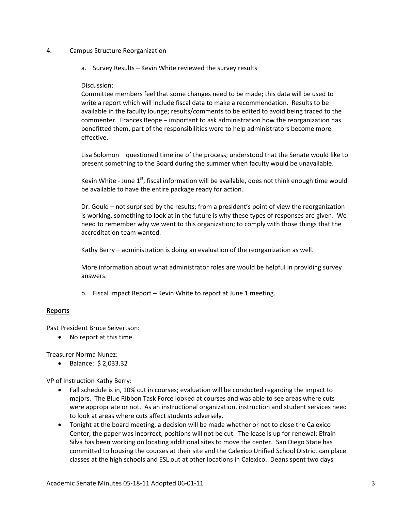- 4. Campus Structure Reorganization
	- a. Survey Results Kevin White reviewed the survey results

### Discussion:

Committee members feel that some changes need to be made; this data will be used to write a report which will include fiscal data to make a recommendation. Results to be available in the faculty lounge; results/comments to be edited to avoid being traced to the commenter. Frances Beope – important to ask administration how the reorganization has benefitted them, part of the responsibilities were to help administrators become more effective.

Lisa Solomon – questioned timeline of the process; understood that the Senate would like to present something to the Board during the summer when faculty would be unavailable.

Kevin White - June  $1<sup>st</sup>$ , fiscal information will be available, does not think enough time would be available to have the entire package ready for action.

Dr. Gould – not surprised by the results; from a president's point of view the reorganization is working, something to look at in the future is why these types of responses are given. We need to remember why we went to this organization; to comply with those things that the accreditation team wanted.

Kathy Berry – administration is doing an evaluation of the reorganization as well.

More information about what administrator roles are would be helpful in providing survey answers.

b. Fiscal Impact Report – Kevin White to report at June 1 meeting.

# **Reports**

Past President Bruce Seivertson:

• No report at this time.

Treasurer Norma Nunez:

• Balance: \$ 2,033.32

VP of Instruction Kathy Berry:

- Fall schedule is in, 10% cut in courses; evaluation will be conducted regarding the impact to majors. The Blue Ribbon Task Force looked at courses and was able to see areas where cuts were appropriate or not. As an instructional organization, instruction and student services need to look at areas where cuts affect students adversely.
- Tonight at the board meeting, a decision will be made whether or not to close the Calexico Center, the paper was incorrect; positions will not be cut. The lease is up for renewal; Efrain Silva has been working on locating additional sites to move the center. San Diego State has committed to housing the courses at their site and the Calexico Unified School District can place classes at the high schools and ESL out at other locations in Calexico. Deans spent two days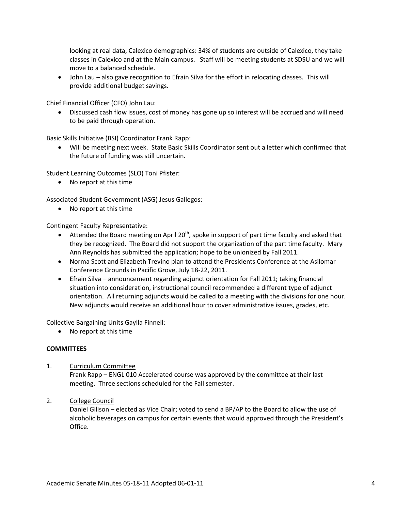looking at real data, Calexico demographics: 34% of students are outside of Calexico, they take classes in Calexico and at the Main campus. Staff will be meeting students at SDSU and we will move to a balanced schedule.

• John Lau – also gave recognition to Efrain Silva for the effort in relocating classes. This will provide additional budget savings.

Chief Financial Officer (CFO) John Lau:

• Discussed cash flow issues, cost of money has gone up so interest will be accrued and will need to be paid through operation.

Basic Skills Initiative (BSI) Coordinator Frank Rapp:

• Will be meeting next week. State Basic Skills Coordinator sent out a letter which confirmed that the future of funding was still uncertain.

Student Learning Outcomes (SLO) Toni Pfister:

• No report at this time

Associated Student Government (ASG) Jesus Gallegos:

• No report at this time

Contingent Faculty Representative:

- Attended the Board meeting on April 20<sup>th</sup>, spoke in support of part time faculty and asked that they be recognized. The Board did not support the organization of the part time faculty. Mary Ann Reynolds has submitted the application; hope to be unionized by Fall 2011.
- Norma Scott and Elizabeth Trevino plan to attend the Presidents Conference at the Asilomar Conference Grounds in Pacific Grove, July 18-22, 2011.
- Efrain Silva announcement regarding adjunct orientation for Fall 2011; taking financial situation into consideration, instructional council recommended a different type of adjunct orientation. All returning adjuncts would be called to a meeting with the divisions for one hour. New adjuncts would receive an additional hour to cover administrative issues, grades, etc.

Collective Bargaining Units Gaylla Finnell:

• No report at this time

### **COMMITTEES**

- 1. Curriculum Committee Frank Rapp – ENGL 010 Accelerated course was approved by the committee at their last meeting. Three sections scheduled for the Fall semester.
- 2. College Council

Daniel Gilison – elected as Vice Chair; voted to send a BP/AP to the Board to allow the use of alcoholic beverages on campus for certain events that would approved through the President's Office.